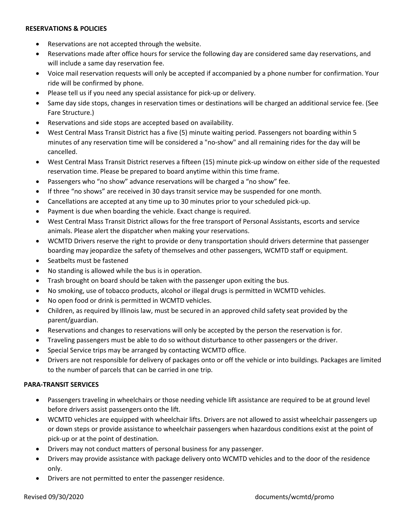#### **RESERVATIONS & POLICIES**

- Reservations are not accepted through the website.
- Reservations made after office hours for service the following day are considered same day reservations, and will include a same day reservation fee.
- Voice mail reservation requests will only be accepted if accompanied by a phone number for confirmation. Your ride will be confirmed by phone.
- Please tell us if you need any special assistance for pick-up or delivery.
- Same day side stops, changes in reservation times or destinations will be charged an additional service fee. (See Fare Structure.)
- Reservations and side stops are accepted based on availability.
- West Central Mass Transit District has a five (5) minute waiting period. Passengers not boarding within 5 minutes of any reservation time will be considered a "no-show" and all remaining rides for the day will be cancelled.
- West Central Mass Transit District reserves a fifteen (15) minute pick-up window on either side of the requested reservation time. Please be prepared to board anytime within this time frame.
- Passengers who "no show" advance reservations will be charged a "no show" fee.
- If three "no shows" are received in 30 days transit service may be suspended for one month.
- Cancellations are accepted at any time up to 30 minutes prior to your scheduled pick-up.
- Payment is due when boarding the vehicle. Exact change is required.
- West Central Mass Transit District allows for the free transport of Personal Assistants, escorts and service animals. Please alert the dispatcher when making your reservations.
- WCMTD Drivers reserve the right to provide or deny transportation should drivers determine that passenger boarding may jeopardize the safety of themselves and other passengers, WCMTD staff or equipment.
- Seatbelts must be fastened
- No standing is allowed while the bus is in operation.
- Trash brought on board should be taken with the passenger upon exiting the bus.
- No smoking, use of tobacco products, alcohol or illegal drugs is permitted in WCMTD vehicles.
- No open food or drink is permitted in WCMTD vehicles.
- Children, as required by Illinois law, must be secured in an approved child safety seat provided by the parent/guardian.
- Reservations and changes to reservations will only be accepted by the person the reservation is for.
- Traveling passengers must be able to do so without disturbance to other passengers or the driver.
- Special Service trips may be arranged by contacting WCMTD office.
- Drivers are not responsible for delivery of packages onto or off the vehicle or into buildings. Packages are limited to the number of parcels that can be carried in one trip.

## **PARA-TRANSIT SERVICES**

- Passengers traveling in wheelchairs or those needing vehicle lift assistance are required to be at ground level before drivers assist passengers onto the lift.
- WCMTD vehicles are equipped with wheelchair lifts. Drivers are not allowed to assist wheelchair passengers up or down steps or provide assistance to wheelchair passengers when hazardous conditions exist at the point of pick-up or at the point of destination.
- Drivers may not conduct matters of personal business for any passenger.
- Drivers may provide assistance with package delivery onto WCMTD vehicles and to the door of the residence only.
- Drivers are not permitted to enter the passenger residence.